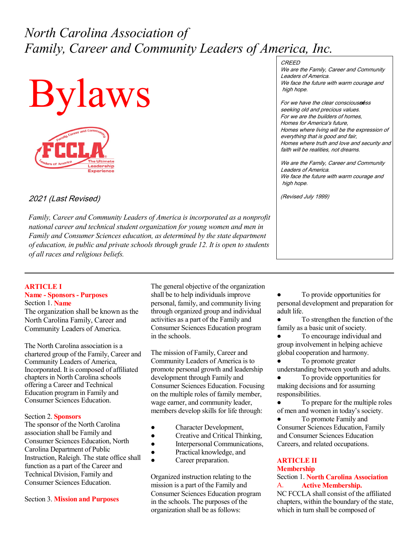# *North Carolina Association of Family, Career and Community Leaders of America, Inc.*





2021 (Last Revised)

*Family, Career and Community Leaders of America is incorporated as a nonprofit national career and technical student organization for young women and men in Family and Consumer Sciences education, as determined by the state department of education, in public and private schools through grade 12. It is open to students of all races and religious beliefs.*

# **CREED**

We are the Family, Career and Community Leaders of America. We face the future with warm courage and high hope.

For we have the clear consciousness seeking old and precious values. For we are the builders of homes, Homes for America's future, Homes where living will be the expression of everything that is good and fair, Homes where truth and love and security and faith will be realities, not dreams.

We are the Family, Career and Community Leaders of America. We face the future with warm courage and high hope.

(Revised July 1999)

## **ARTICLE I Name - Sponsors - Purposes** Section 1. **Name**

The organization shall be known as the North Carolina Family, Career and Community Leaders of America.

The North Carolina association is a chartered group of the Family, Career and Community Leaders of America, Incorporated. It is composed of affiliated chapters in North Carolina schools offering a Career and Technical Education program in Family and Consumer Sciences Education.

## Section 2. **Sponsors**

The sponsor of the North Carolina association shall be Family and Consumer Sciences Education, North Carolina Department of Public Instruction, Raleigh. The state office shall function as a part of the Career and Technical Division, Family and Consumer Sciences Education.

Section 3. **Mission and Purposes**

The general objective of the organization shall be to help individuals improve personal, family, and community living through organized group and individual activities as a part of the Family and Consumer Sciences Education program in the schools.

The mission of Family, Career and Community Leaders of America is to promote personal growth and leadership development through Family and Consumer Sciences Education. Focusing on the multiple roles of family member, wage earner, and community leader, members develop skills for life through:

- Character Development,
- Creative and Critical Thinking,
- Interpersonal Communications,
- Practical knowledge, and
- Career preparation.

Organized instruction relating to the mission is a part of the Family and Consumer Sciences Education program in the schools. The purposes of the organization shall be as follows:

To provide opportunities for personal development and preparation for adult life.

To strengthen the function of the family as a basic unit of society.

To encourage individual and group involvement in helping achieve global cooperation and harmony.

To promote greater understanding between youth and adults.

To provide opportunities for making decisions and for assuming responsibilities.

To prepare for the multiple roles of men and women in today's society.

To promote Family and Consumer Sciences Education, Family and Consumer Sciences Education Careers, and related occupations.

# **ARTICLE II**

# **Membership**

Section 1. **North Carolina Association** A. **Active Membership.** 

NC FCCLA shall consist of the affiliated chapters, within the boundary of the state, which in turn shall be composed of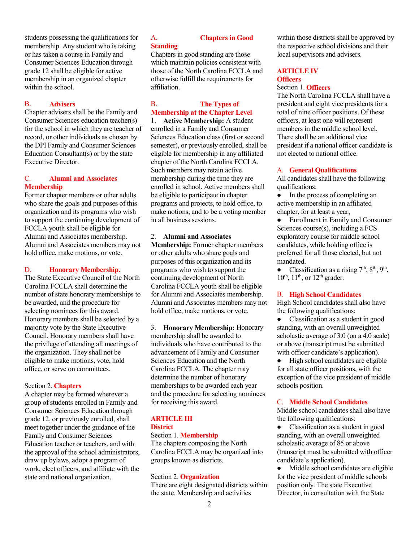students possessing the qualifications for membership. Any student who is taking or has taken a course in Family and Consumer Sciences Education through grade 12 shall be eligible for active membership in an organized chapter within the school.

## B. **Advisers**

Chapter advisers shall be the Family and Consumer Sciences education teacher(s) for the school in which they are teacher of record, or other individuals as chosen by the DPI Family and Consumer Sciences Education Consultant(s) or by the state Executive Director.

# C. **Alumni and Associates Membership**

Former chapter members or other adults who share the goals and purposes of this organization and its programs who wish to support the continuing development of FCCLA youth shall be eligible for Alumni and Associates membership. Alumni and Associates members may not hold office, make motions, or vote.

# D. **Honorary Membership.**

The State Executive Council of the North Carolina FCCLA shall determine the number of state honorary memberships to be awarded, and the procedure for selecting nominees for this award. Honorary members shall be selected by a majority vote by the State Executive Council. Honorary members shall have the privilege of attending all meetings of the organization. They shall not be eligible to make motions, vote, hold office, or serve on committees.

## Section 2. **Chapters**

A chapter may be formed wherever a group of students enrolled in Family and Consumer Sciences Education through grade 12, or previously enrolled, shall meet together under the guidance of the Family and Consumer Sciences Education teacher or teachers, and with the approval of the school administrators, draw up bylaws, adopt a program of work, elect officers, and affiliate with the state and national organization.

# A. **Chapters in Good Standing**

Chapters in good standing are those which maintain policies consistent with those of the North Carolina FCCLA and otherwise fulfill the requirements for affiliation.

# B. **The Types of Membership at the Chapter Level**

1. **Active Membership:** A student enrolled in a Family and Consumer Sciences Education class (first or second semester), or previously enrolled, shall be eligible for membership in any affiliated chapter of the North Carolina FCCLA. Such members may retain active membership during the time they are enrolled in school. Active members shall be eligible to participate in chapter programs and projects, to hold office, to make notions, and to be a voting member in all business sessions.

# 2. **Alumni and Associates**

**Membership:** Former chapter members or other adults who share goals and purposes of this organization and its programs who wish to support the continuing development of North Carolina FCCLA youth shall be eligible for Alumni and Associates membership. Alumni and Associates members may not hold office, make motions, or vote.

3. **Honorary Membership:** Honorary membership shall be awarded to individuals who have contributed to the advancement of Family and Consumer Sciences Education and the North Carolina FCCLA. The chapter may determine the number of honorary memberships to be awarded each year and the procedure for selecting nominees for receiving this award.

## **ARTICLE III District** Section 1. **Membership**

The chapters composing the North Carolina FCCLA may be organized into groups known as districts.

## Section 2. **Organization**

There are eight designated districts within the state. Membership and activities

within those districts shall be approved by the respective school divisions and their local supervisors and advisers.

# **ARTICLE IV Officers**

## Section 1. **Officers**

The North Carolina FCCLA shall have a president and eight vice presidents for a total of nine officer positions. Of these officers, at least one will represent members in the middle school level. There shall be an additional vice president if a national officer candidate is not elected to national office.

## A. **General Qualifications**

All candidates shall have the following qualifications:

In the process of completing an active membership in an affiliated chapter, for at least a year,

Enrollment in Family and Consumer Sciences course(s), including a FCS exploratory course for middle school candidates, while holding office is preferred for all those elected, but not mandated.

• Classification as a rising  $7<sup>th</sup>$ ,  $8<sup>th</sup>$ ,  $9<sup>th</sup>$ ,  $10^{th}$ ,  $11^{th}$ , or  $12^{th}$  grader.

## B. **High School Candidates**

High School candidates shall also have the following qualifications:

● Classification as a student in good standing, with an overall unweighted scholastic average of 3.0 (on a 4.0 scale) or above (transcript must be submitted with officer candidate's application).

● High school candidates are eligible for all state officer positions, with the exception of the vice president of middle schools position.

# C. **Middle School Candidates**

Middle school candidates shall also have the following qualifications:

● Classification as a student in good standing, with an overall unweighted scholastic average of 85 or above (transcript must be submitted with officer candidate's application).

Middle school candidates are eligible for the vice president of middle schools position only. The state Executive Director, in consultation with the State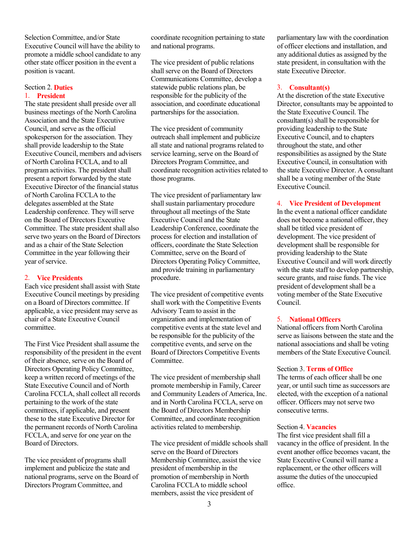Selection Committee, and/or State Executive Council will have the ability to promote a middle school candidate to any other state officer position in the event a position is vacant.

## Section 2. **Duties** 1. **President**

The state president shall preside over all business meetings of the North Carolina Association and the State Executive Council, and serve as the official spokesperson for the association. They shall provide leadership to the State Executive Council, members and advisers of North Carolina FCCLA, and to all program activities. The president shall present a report forwarded by the state Executive Director of the financial status of North Carolina FCCLA to the delegates assembled at the State Leadership conference. They will serve on the Board of Directors Executive Committee. The state president shall also serve two years on the Board of Directors and as a chair of the State Selection Committee in the year following their year of service.

# 2. **Vice Presidents**

Each vice president shall assist with State Executive Council meetings by presiding on a Board of Directors committee. If applicable, a vice president may serve as chair of a State Executive Council committee.

The First Vice President shall assume the responsibility of the president in the event of their absence, serve on the Board of Directors Operating Policy Committee, keep a written record of meetings of the State Executive Council and of North Carolina FCCLA, shall collect all records pertaining to the work of the state committees, if applicable, and present these to the state Executive Director for the permanent records of North Carolina FCCLA, and serve for one year on the Board of Directors.

The vice president of programs shall implement and publicize the state and national programs, serve on the Board of Directors Program Committee, and

coordinate recognition pertaining to state and national programs.

The vice president of public relations shall serve on the Board of Directors Communications Committee, develop a statewide public relations plan, be responsible for the publicity of the association, and coordinate educational partnerships for the association.

The vice president of community outreach shall implement and publicize all state and national programs related to service learning, serve on the Board of Directors Program Committee, and coordinate recognition activities related to those programs.

The vice president of parliamentary law shall sustain parliamentary procedure throughout all meetings of the State Executive Council and the State Leadership Conference, coordinate the process for election and installation of officers, coordinate the State Selection Committee, serve on the Board of Directors Operating Policy Committee, and provide training in parliamentary procedure.

The vice president of competitive events shall work with the Competitive Events Advisory Team to assist in the organization and implementation of competitive events at the state level and be responsible for the publicity of the competitive events, and serve on the Board of Directors Competitive Events Committee.

The vice president of membership shall promote membership in Family, Career and Community Leaders of America, Inc. and in North Carolina FCCLA, serve on the Board of Directors Membership Committee, and coordinate recognition activities related to membership.

The vice president of middle schools shall serve on the Board of Directors Membership Committee, assist the vice president of membership in the promotion of membership in North Carolina FCCLA to middle school members, assist the vice president of

parliamentary law with the coordination of officer elections and installation, and any additional duties as assigned by the state president, in consultation with the state Executive Director.

## 3. **Consultant(s)**

At the discretion of the state Executive Director, consultants may be appointed to the State Executive Council. The consultant(s) shall be responsible for providing leadership to the State Executive Council, and to chapters throughout the state, and other responsibilities as assigned by the State Executive Council, in consultation with the state Executive Director. A consultant shall be a voting member of the State Executive Council.

#### 4. **Vice President of Development**

In the event a national officer candidate does not become a national officer, they shall be titled vice president of development. The vice president of development shall be responsible for providing leadership to the State Executive Council and will work directly with the state staff to develop partnership, secure grants, and raise funds. The vice president of development shall be a voting member of the State Executive Council.

# 5. **National Officers**

National officers from North Carolina serve as liaisons between the state and the national associations and shall be voting members of the State Executive Council.

## Section 3. **Terms of Office**

The terms of each officer shall be one year, or until such time as successors are elected, with the exception of a national officer. Officers may not serve two consecutive terms.

#### Section 4. **Vacancies**

The first vice president shall fill a vacancy in the office of president. In the event another office becomes vacant, the State Executive Council will name a replacement, or the other officers will assume the duties of the unoccupied office.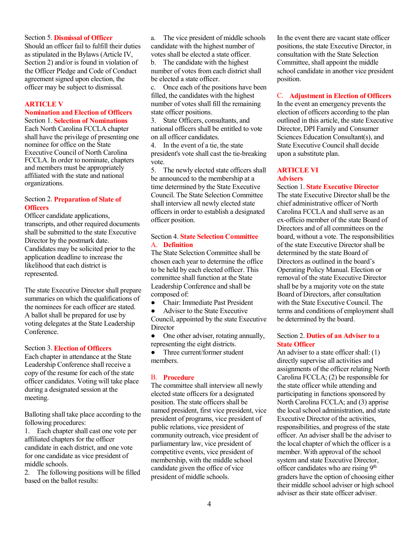# Section 5. **Dismissal of Officer**

Should an officer fail to fulfill their duties as stipulated in the Bylaws (Article IV, Section 2) and/or is found in violation of the Officer Pledge and Code of Conduct agreement signed upon election, the officer may be subject to dismissal.

#### **ARTICLE V**

#### **Nomination and Election of Officers** Section 1. **Selection of Nominations**

Each North Carolina FCCLA chapter shall have the privilege of presenting one nominee for office on the State Executive Council of North Carolina FCCLA. In order to nominate, chapters and members must be appropriately affiliated with the state and national organizations.

# Section 2. **Preparation of Slate of Officers**

Officer candidate applications, transcripts, and other required documents shall be submitted to the state Executive Director by the postmark date. Candidates may be solicited prior to the application deadline to increase the likelihood that each district is represented.

The state Executive Director shall prepare summaries on which the qualifications of the nominees for each officer are stated. A ballot shall be prepared for use by voting delegates at the State Leadership Conference.

#### Section 3. **Election of Officers**

Each chapter in attendance at the State Leadership Conference shall receive a copy of the resume for each of the state officer candidates. Voting will take place during a designated session at the meeting.

Balloting shall take place according to the following procedures:

1. Each chapter shall cast one vote per affiliated chapters for the officer candidate in each district, and one vote for one candidate as vice president of middle schools.

2. The following positions will be filled based on the ballot results:

a. The vice president of middle schools candidate with the highest number of votes shall be elected a state officer.

b. The candidate with the highest number of votes from each district shall be elected a state officer.

c. Once each of the positions have been filled, the candidates with the highest number of votes shall fill the remaining state officer positions.

3. State Officers, consultants, and national officers shall be entitled to vote on all officer candidates.

4. In the event of a tie, the state president's vote shall cast the tie-breaking vote.

5. The newly elected state officers shall be announced to the membership at a time determined by the State Executive Council. The State Selection Committee shall interview all newly elected state officers in order to establish a designated officer position.

## Section 4. **State Selection Committee** A. **Definition**

The State Selection Committee shall be chosen each year to determine the office to be held by each elected officer. This committee shall function at the State Leadership Conference and shall be composed of:

● Chair: Immediate Past President

Adviser to the State Executive Council, appointed by the state Executive **Director** 

• One other adviser, rotating annually, representing the eight districts.

● Three current/former student members.

#### B. **Procedure**

The committee shall interview all newly elected state officers for a designated position. The state officers shall be named president, first vice president, vice president of programs, vice president of public relations, vice president of community outreach, vice president of parliamentary law, vice president of competitive events, vice president of membership, with the middle school candidate given the office of vice president of middle schools.

In the event there are vacant state officer positions, the state Executive Director, in consultation with the State Selection Committee, shall appoint the middle school candidate in another vice president position.

#### C. **Adjustment in Election of Officers**

In the event an emergency prevents the election of officers according to the plan outlined in this article, the state Executive Director, DPI Family and Consumer Sciences Education Consultant(s), and State Executive Council shall decide upon a substitute plan.

#### **ARTICLE VI Advisers**

#### Section 1. **State Executive Director**

The state Executive Director shall be the chief administrative officer of North Carolina FCCLA and shall serve as an ex-officio member of the state Board of Directors and of all committees on the board, without a vote. The responsibilities of the state Executive Director shall be determined by the state Board of Directors as outlined in the board's Operating Policy Manual. Election or removal of the state Executive Director shall be by a majority vote on the state Board of Directors, after consultation with the State Executive Council. The terms and conditions of employment shall be determined by the board.

# Section 2. **Duties of an Adviser to a State Officer**

An adviser to a state officer shall: (1) directly supervise all activities and assignments of the officer relating North Carolina FCCLA; (2) be responsible for the state officer while attending and participating in functions sponsored by North Carolina FCCLA; and (3) apprise the local school administration, and state Executive Director of the activities, responsibilities, and progress of the state officer. An adviser shall be the adviser to the local chapter of which the officer is a member. With approval of the school system and state Executive Director, officer candidates who are rising 9<sup>th</sup> graders have the option of choosing either their middle school adviser or high school adviser as their state officer adviser.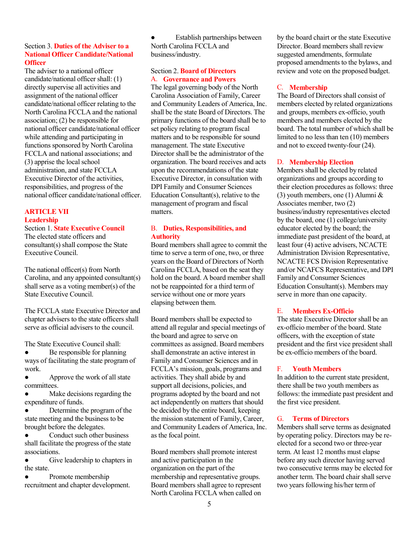# Section 3. **Duties of the Adviser to a National Officer Candidate/National Officer**

The adviser to a national officer candidate/national officer shall: (1) directly supervise all activities and assignment of the national officer candidate/national officer relating to the North Carolina FCCLA and the national association; (2) be responsible for national officer candidate/national officer while attending and participating in functions sponsored by North Carolina FCCLA and national associations; and (3) apprise the local school administration, and state FCCLA Executive Director of the activities, responsibilities, and progress of the national officer candidate/national officer.

# **ARTICLE VII Leadership**

Section 1. **State Executive Council**

The elected state officers and consultant(s) shall compose the State Executive Council.

The national officer(s) from North Carolina, and any appointed consultant(s) shall serve as a voting member(s) of the State Executive Council.

The FCCLA state Executive Director and chapter advisers to the state officers shall serve as official advisers to the council.

The State Executive Council shall:

Be responsible for planning ways of facilitating the state program of work.

Approve the work of all state committees.

Make decisions regarding the expenditure of funds.

Determine the program of the state meeting and the business to be brought before the delegates.

Conduct such other business shall facilitate the progress of the state associations.

● Give leadership to chapters in the state.

● Promote membership recruitment and chapter development.

Establish partnerships between North Carolina FCCLA and business/industry.

# Section 2. **Board of Directors** A. **Governance and Powers**

The legal governing body of the North Carolina Association of Family, Career and Community Leaders of America, Inc. shall be the state Board of Directors. The primary functions of the board shall be to set policy relating to program fiscal matters and to be responsible for sound management. The state Executive Director shall be the administrator of the organization. The board receives and acts upon the recommendations of the state Executive Director, in consultation with DPI Family and Consumer Sciences Education Consultant(s), relative to the management of program and fiscal matters.

# B. **Duties, Responsibilities, and Authority**

Board members shall agree to commit the time to serve a term of one, two, or three years on the Board of Directors of North Carolina FCCLA, based on the seat they hold on the board. A board member shall not be reappointed for a third term of service without one or more years elapsing between them.

Board members shall be expected to attend all regular and special meetings of the board and agree to serve on committees as assigned. Board members shall demonstrate an active interest in Family and Consumer Sciences and in FCCLA's mission, goals, programs and activities. They shall abide by and support all decisions, policies, and programs adopted by the board and not act independently on matters that should be decided by the entire board, keeping the mission statement of Family, Career, and Community Leaders of America, Inc. as the focal point.

Board members shall promote interest and active participation in the organization on the part of the membership and representative groups. Board members shall agree to represent North Carolina FCCLA when called on

by the board chairt or the state Executive Director. Board members shall review suggested amendments, formulate proposed amendments to the bylaws, and review and vote on the proposed budget.

# C. **Membership**

The Board of Directors shall consist of members elected by related organizations and groups, members ex-officio, youth members and members elected by the board. The total number of which shall be limited to no less than ten (10) members and not to exceed twenty-four (24).

# D. **Membership Election**

Members shall be elected by related organizations and groups according to their election procedures as follows: three (3) youth members, one (1) Alumni & Associates member, two (2) business/industry representatives elected by the board, one (1) college/university educator elected by the board; the immediate past president of the board, at least four (4) active advisers, NCACTE Administration Division Representative, NCACTE FCS Division Representative and/or NCAFCS Representative, and DPI Family and Consumer Sciences Education Consultant(s). Members may serve in more than one capacity.

# E. **Members Ex-Officio**

The state Executive Director shall be an ex-officio member of the board. State officers, with the exception of state president and the first vice president shall be ex-officio members of the board.

## F. **Youth Members**

In addition to the current state president, there shall be two youth members as follows: the immediate past president and the first vice president.

# G. **Terms of Directors**

Members shall serve terms as designated by operating policy. Directors may be reelected for a second two or three-year term. At least 12 months must elapse before any such director having served two consecutive terms may be elected for another term. The board chair shall serve two years following his/her term of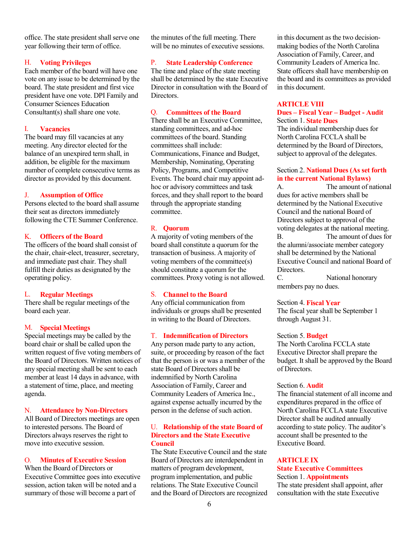office. The state president shall serve one year following their term of office.

## H. **Voting Privileges**

Each member of the board will have one vote on any issue to be determined by the board. The state president and first vice president have one vote. DPI Family and Consumer Sciences Education Consultant(s) shall share one vote.

## I. **Vacancies**

The board may fill vacancies at any meeting. Any director elected for the balance of an unexpired term shall, in addition, be eligible for the maximum number of complete consecutive terms as director as provided by this document.

#### J. **Assumption of Office**

Persons elected to the board shall assume their seat as directors immediately following the CTE Summer Conference.

## K. **Officers of the Board**

The officers of the board shall consist of the chair, chair-elect, treasurer, secretary, and immediate past chair. They shall fulfill their duties as designated by the operating policy.

#### L. **Regular Meetings**

There shall be regular meetings of the board each year.

## M. **Special Meetings**

Special meetings may be called by the board chair or shall be called upon the written request of five voting members of the Board of Directors. Written notices of any special meeting shall be sent to each member at least 14 days in advance, with a statement of time, place, and meeting agenda.

#### N. **Attendance by Non-Directors**

All Board of Directors meetings are open to interested persons. The Board of Directors always reserves the right to move into executive session.

#### O. **Minutes of Executive Session**

When the Board of Directors or Executive Committee goes into executive session, action taken will be noted and a summary of those will become a part of

the minutes of the full meeting. There will be no minutes of executive sessions.

#### P. **State Leadership Conference**

The time and place of the state meeting shall be determined by the state Executive Director in consultation with the Board of **Directors** 

# Q. **Committees of the Board**

There shall be an Executive Committee, standing committees, and ad-hoc committees of the board. Standing committees shall include: Communications, Finance and Budget, Membership, Nominating, Operating Policy, Programs, and Competitive Events. The board chair may appoint adhoc or advisory committees and task forces, and they shall report to the board through the appropriate standing committee.

#### R. **Quorum**

A majority of voting members of the board shall constitute a quorum for the transaction of business. A majority of voting members of the committee(s) should constitute a quorum for the committees. Proxy voting is not allowed.

## S. **Channel to the Board**

Any official communication from individuals or groups shall be presented in writing to the Board of Directors.

#### T. **Indemnification of Directors**

Any person made party to any action, suite, or proceeding by reason of the fact that the person is or was a member of the state Board of Directors shall be indemnified by North Carolina Association of Family, Career and Community Leaders of America Inc., against expense actually incurred by the person in the defense of such action.

## U. **Relationship of the state Board of Directors and the State Executive Council**

The State Executive Council and the state Board of Directors are interdependent in matters of program development, program implementation, and public relations. The State Executive Council and the Board of Directors are recognized

in this document as the two decisionmaking bodies of the North Carolina Association of Family, Career, and Community Leaders of America Inc. State officers shall have membership on the board and its committees as provided in this document.

#### **ARTICLE VIII**

## **Dues – Fiscal Year – Budget - Audit** Section 1. **State Dues**

The individual membership dues for North Carolina FCCLA shall be determined by the Board of Directors, subject to approval of the delegates.

# Section 2. **National Dues (As set forth in the current National Bylaws)**

A. The amount of national dues for active members shall be determined by the National Executive Council and the national Board of Directors subject to approval of the voting delegates at the national meeting. B. The amount of dues for the alumni/associate member category shall be determined by the National Executive Council and national Board of Directors.

C. National honorary members pay no dues.

#### Section 4. **Fiscal Year**

The fiscal year shall be September 1 through August 31.

#### Section 5. **Budget**

The North Carolina FCCLA state Executive Director shall prepare the budget. It shall be approved by the Board of Directors.

# Section 6. **Audit**

The financial statement of all income and expenditures prepared in the office of North Carolina FCCLA state Executive Director shall be audited annually according to state policy. The auditor's account shall be presented to the Executive Board.

# **ARTICLE IX**

#### **State Executive Committees** Section 1. **Appointments**

The state president shall appoint, after consultation with the state Executive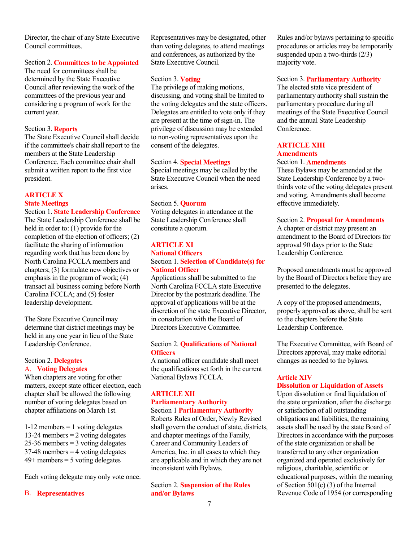Director, the chair of any State Executive Council committees.

#### Section 2. **Committees to be Appointed**

The need for committees shall be determined by the State Executive Council after reviewing the work of the committees of the previous year and considering a program of work for the current year.

#### Section 3. **Reports**

The State Executive Council shall decide if the committee's chair shall report to the members at the State Leadership Conference. Each committee chair shall submit a written report to the first vice president.

# **ARTICLE X State Meetings**

#### Section 1. **State Leadership Conference**

The State Leadership Conference shall be held in order to: (1) provide for the completion of the election of officers; (2) facilitate the sharing of information regarding work that has been done by North Carolina FCCLA members and chapters; (3) formulate new objectives or emphasis in the program of work; (4) transact all business coming before North Carolina FCCLA; and (5) foster leadership development.

The State Executive Council may determine that district meetings may be held in any one year in lieu of the State Leadership Conference.

## Section 2. **Delegates** A. **Voting Delegates**

When chapters are voting for other matters, except state officer election, each chapter shall be allowed the following number of voting delegates based on chapter affiliations on March 1st.

 $1-12$  members  $= 1$  voting delegates 13-24 members = 2 voting delegates 25-36 members  $=$  3 voting delegates  $37-48$  members = 4 voting delegates  $49+$  members = 5 voting delegates

Each voting delegate may only vote once.

#### B. **Representatives**

Representatives may be designated, other than voting delegates, to attend meetings and conferences, as authorized by the State Executive Council.

#### Section 3. **Voting**

The privilege of making motions, discussing, and voting shall be limited to the voting delegates and the state officers. Delegates are entitled to vote only if they are present at the time of sign-in. The privilege of discussion may be extended to non-voting representatives upon the consent of the delegates.

#### Section 4. **Special Meetings**

Special meetings may be called by the State Executive Council when the need arises.

#### Section 5. **Quorum**

Voting delegates in attendance at the State Leadership Conference shall constitute a quorum.

# **ARTICLE XI**

#### **National Officers** Section 1. **Selection of Candidate(s) for National Officer**

Applications shall be submitted to the North Carolina FCCLA state Executive Director by the postmark deadline. The approval of applications will be at the discretion of the state Executive Director, in consultation with the Board of Directors Executive Committee.

#### Section 2. **Qualifications of National Officers**

A national officer candidate shall meet the qualifications set forth in the current National Bylaws FCCLA.

## **ARTICLE XII Parliamentary Authority** Section 1 **Parliamentary Authority**

Roberts Rules of Order, Newly Revised shall govern the conduct of state, districts, and chapter meetings of the Family, Career and Community Leaders of America, Inc. in all cases to which they are applicable and in which they are not inconsistent with Bylaws.

Section 2. **Suspension of the Rules and/or Bylaws**

Rules and/or bylaws pertaining to specific procedures or articles may be temporarily suspended upon a two-thirds (2/3) majority vote.

## Section 3. **Parliamentary Authority**

The elected state vice president of parliamentary authority shall sustain the parliamentary procedure during all meetings of the State Executive Council and the annual State Leadership Conference.

#### **ARTICLE XIII Amendments**

#### Section 1. **Amendments**

These Bylaws may be amended at the State Leadership Conference by a twothirds vote of the voting delegates present and voting. Amendments shall become effective immediately.

Section 2. **Proposal for Amendments** A chapter or district may present an amendment to the Board of Directors for approval 90 days prior to the State Leadership Conference.

Proposed amendments must be approved by the Board of Directors before they are presented to the delegates.

A copy of the proposed amendments, properly approved as above, shall be sent to the chapters before the State Leadership Conference.

The Executive Committee, with Board of Directors approval, may make editorial changes as needed to the bylaws.

# **Article XIV**

#### **Dissolution or Liquidation of Assets**

Upon dissolution or final liquidation of the state organization, after the discharge or satisfaction of all outstanding obligations and liabilities, the remaining assets shall be used by the state Board of Directors in accordance with the purposes of the state organization or shall be transferred to any other organization organized and operated exclusively for religious, charitable, scientific or educational purposes, within the meaning of Section  $501(c)$  (3) of the Internal Revenue Code of 1954 (or corresponding